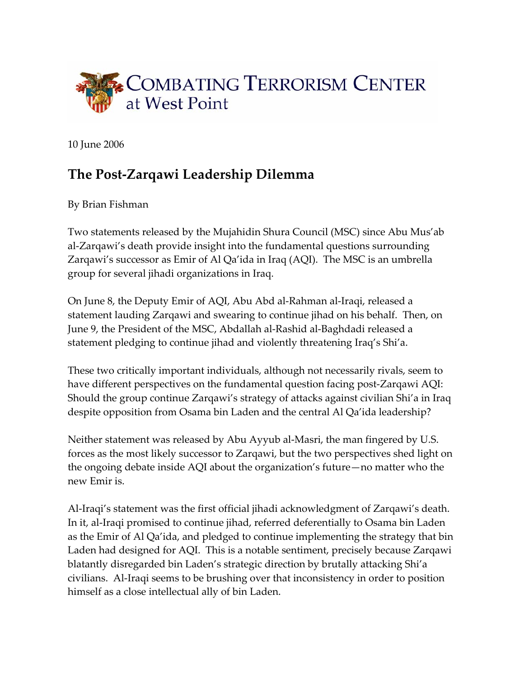

10 June 2006

## **The Post‐Zarqawi Leadership Dilemma**

By Brian Fishman

Two statements released by the Mujahidin Shura Council (MSC) since Abu Mus'ab al‐Zarqawi's death provide insight into the fundamental questions surrounding Zarqawi's successor as Emir of Al Qa'ida in Iraq (AQI). The MSC is an umbrella group for several jihadi organizations in Iraq.

On June 8, the Deputy Emir of AQI, Abu Abd al‐Rahman al‐Iraqi, released a statement lauding Zarqawi and swearing to continue jihad on his behalf. Then, on June 9, the President of the MSC, Abdallah al‐Rashid al‐Baghdadi released a statement pledging to continue jihad and violently threatening Iraq's Shi'a.

These two critically important individuals, although not necessarily rivals, seem to have different perspectives on the fundamental question facing post-Zarqawi AQI: Should the group continue Zarqawi's strategy of attacks against civilian Shi'a in Iraq despite opposition from Osama bin Laden and the central Al Qa'ida leadership?

Neither statement was released by Abu Ayyub al‐Masri, the man fingered by U.S. forces as the most likely successor to Zarqawi, but the two perspectives shed light on the ongoing debate inside AQI about the organization's future—no matter who the new Emir is.

Al‐Iraqi's statement was the first official jihadi acknowledgment of Zarqawi's death. In it, al‐Iraqi promised to continue jihad, referred deferentially to Osama bin Laden as the Emir of Al Qa'ida, and pledged to continue implementing the strategy that bin Laden had designed for AQI. This is a notable sentiment, precisely because Zarqawi blatantly disregarded bin Laden's strategic direction by brutally attacking Shi'a civilians. Al‐Iraqi seems to be brushing over that inconsistency in order to position himself as a close intellectual ally of bin Laden.